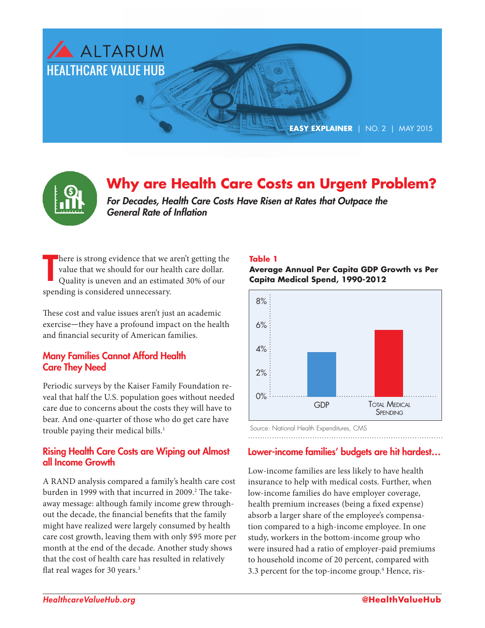

# **Why are Health Care Costs an Urgent Problem?**

*For Decades, Health Care Costs Have Risen at Rates that Outpace the General Rate of Inflation*

T here is strong evidence that we aren't getting the value that we should for our health care dollar. Quality is uneven and an estimated 30% of our spending is considered unnecessary.

These cost and value issues aren't just an academic exercise—they have a profound impact on the health and financial security of American families.

#### Many Families Cannot Afford Health Care They Need

Periodic surveys by the Kaiser Family Foundation reveal that half the U.S. population goes without needed care due to concerns about the costs they will have to bear. And one-quarter of those who do get care have trouble paying their medical bills.<sup>1</sup>

#### Rising Health Care Costs are Wiping out Almost all Income Growth

A RAND analysis compared a family's health care cost burden in 1999 with that incurred in 2009.<sup>2</sup> The takeaway message: although family income grew throughout the decade, the financial benefits that the family might have realized were largely consumed by health care cost growth, leaving them with only \$95 more per month at the end of the decade. Another study shows that the cost of health care has resulted in relatively flat real wages for 30 years.<sup>3</sup>

#### **Table 1**

**Average Annual Per Capita GDP Growth vs Per Capita Medical Spend, 1990-2012**



Source: National Health Expenditures, CMS

### Lower-income families' budgets are hit hardest…

Low-income families are less likely to have health insurance to help with medical costs. Further, when low-income families do have employer coverage, health premium increases (being a fixed expense) absorb a larger share of the employee's compensation compared to a high-income employee. In one study, workers in the bottom-income group who were insured had a ratio of employer-paid premiums to household income of 20 percent, compared with 3.3 percent for the top-income group.<sup>4</sup> Hence, ris